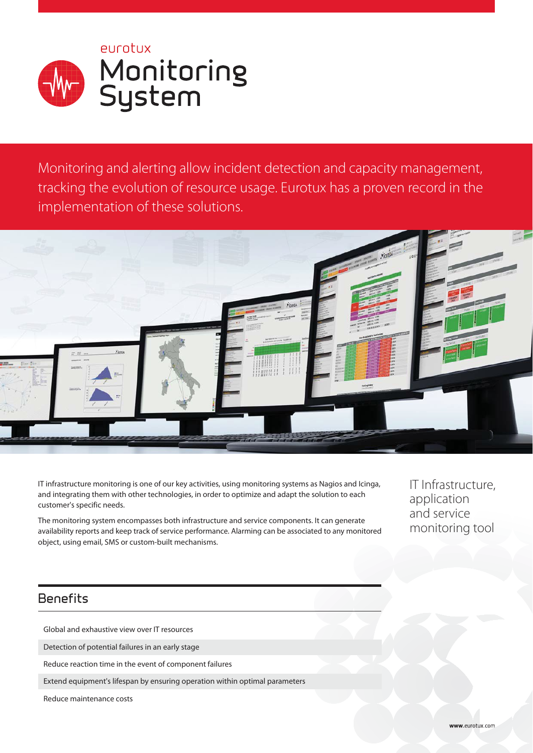PUCOTUX Monitoring<br>System

Monitoring and alerting allow incident detection and capacity management, tracking the evolution of resource usage. Eurotux has a proven record in the implementation of these solutions.



IT infrastructure monitoring is one of our key activities, using monitoring systems as Nagios and Icinga, and integrating them with other technologies, in order to optimize and adapt the solution to each customer's specific needs.

The monitoring system encompasses both infrastructure and service components. It can generate availability reports and keep track of service performance. Alarming can be associated to any monitored object, using email, SMS or custom-built mechanisms.

IT Infrastructure, application and service monitoring tool

# **Benefits**

Global and exhaustive view over IT resources

Detection of potential failures in an early stage

Reduce reaction time in the event of component failures

Extend equipment's lifespan by ensuring operation within optimal parameters

Reduce maintenance costs